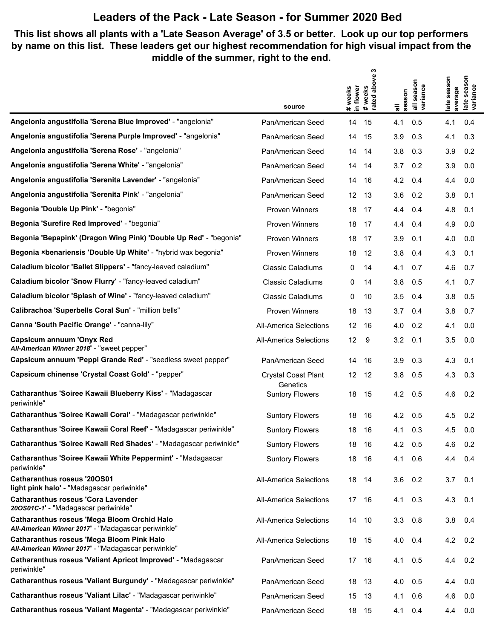#### **This list shows all plants with a 'Late Season Average' of 3.5 or better. Look up our top performers by name on this list. These leaders get our highest recommendation for high visual impact from the middle of the summer, right to the end.**

|                                                                                                         |                                        |                      | ო                            |                 |                                  |                        |                                 |
|---------------------------------------------------------------------------------------------------------|----------------------------------------|----------------------|------------------------------|-----------------|----------------------------------|------------------------|---------------------------------|
|                                                                                                         |                                        | # weeks<br>in flower | above<br>#weeks<br>rated abo | all<br>season   | season<br>all seasor<br>variance | late season<br>average | season<br>late seas<br>variance |
|                                                                                                         | source                                 |                      |                              |                 |                                  |                        |                                 |
| Angelonia angustifolia 'Serena Blue Improved' - "angelonia"                                             | PanAmerican Seed                       | 14                   | 15                           | 4.1             | 0.5                              | 4.1                    | 0.4                             |
| Angelonia angustifolia 'Serena Purple Improved' - "angelonia"                                           | PanAmerican Seed                       | 14                   | 15                           | 3.9             | 0.3                              | 4.1                    | 0.3                             |
| Angelonia angustifolia 'Serena Rose' - "angelonia"                                                      | PanAmerican Seed                       | 14                   | 14                           | 3.8             | 0.3                              | 3.9                    | 0.2                             |
| Angelonia angustifolia 'Serena White' - "angelonia"                                                     | PanAmerican Seed                       | 14                   | 14                           | 3.7             | 0.2                              | 3.9                    | 0.0                             |
| Angelonia angustifolia 'Serenita Lavender' - "angelonia"                                                | PanAmerican Seed                       | 14                   | 16                           | 4.2             | 0.4                              | 4.4                    | 0.0                             |
| Angelonia angustifolia 'Serenita Pink' - "angelonia"                                                    | PanAmerican Seed                       | 12                   | 13                           | 3.6             | 0.2                              | 3.8                    | 0.1                             |
| Begonia 'Double Up Pink' - "begonia"                                                                    | <b>Proven Winners</b>                  | 18                   | 17                           | 4.4             | 0.4                              | 4.8                    | 0.1                             |
| Begonia 'Surefire Red Improved' - "begonia"                                                             | <b>Proven Winners</b>                  | 18                   | 17                           | 4.4             | 0.4                              | 4.9                    | 0.0                             |
| Begonia 'Bepapink' (Dragon Wing Pink) 'Double Up Red' - "begonia"                                       | <b>Proven Winners</b>                  | 18                   | 17                           | 3.9             | 0.1                              | 4.0                    | 0.0                             |
| Begonia ×benariensis 'Double Up White' - "hybrid wax begonia"                                           | <b>Proven Winners</b>                  | 18                   | 12                           | 3.8             | 0.4                              | 4.3                    | 0.1                             |
| Caladium bicolor 'Ballet Slippers' - "fancy-leaved caladium"                                            | <b>Classic Caladiums</b>               | 0                    | 14                           | 4.1             | 0.7                              | 4.6                    | 0.7                             |
| Caladium bicolor 'Snow Flurry' - "fancy-leaved caladium"                                                | <b>Classic Caladiums</b>               | 0                    | 14                           | 3.8             | 0.5                              | 4.1                    | 0.7                             |
| Caladium bicolor 'Splash of Wine' - "fancy-leaved caladium"                                             | <b>Classic Caladiums</b>               | 0                    | 10                           | 3.5             | 0.4                              | 3.8                    | 0.5                             |
| Calibrachoa 'Superbells Coral Sun' - "million bells"                                                    | <b>Proven Winners</b>                  | 18                   | 13                           | 3.7             | 0.4                              | 3.8                    | 0.7                             |
| Canna 'South Pacific Orange' - "canna-lily"                                                             | <b>All-America Selections</b>          | 12                   | 16                           | 4.0             | 0.2                              | 4.1                    | 0.0                             |
| Capsicum annuum 'Onyx Red<br>All-American Winner 2018' - "sweet pepper"                                 | <b>All-America Selections</b>          | 12                   | 9                            | 3.2             | 0.1                              | 3.5                    | 0.0                             |
| Capsicum annuum 'Peppi Grande Red' - "seedless sweet pepper"                                            | PanAmerican Seed                       | 14                   | 16                           | 3.9             | 0.3                              | 4.3                    | 0.1                             |
| Capsicum chinense 'Crystal Coast Gold' - "pepper"                                                       | <b>Crystal Coast Plant</b><br>Genetics | 12                   | 12                           | 3.8             | 0.5                              | 4.3                    | 0.3                             |
| Catharanthus 'Soiree Kawaii Blueberry Kiss' - "Madagascar<br>periwinkle"                                | <b>Suntory Flowers</b>                 | 18                   | 15                           | 4.2             | 0.5                              | 4.6                    | 0.2                             |
| Catharanthus 'Soiree Kawaii Coral' - "Madagascar periwinkle"                                            | <b>Suntory Flowers</b>                 | 18                   | 16                           | $4.2 \quad 0.5$ |                                  | 4.5                    | 0.2                             |
| Catharanthus 'Soiree Kawaii Coral Reef' - "Madagascar periwinkle"                                       | <b>Suntory Flowers</b>                 | 18                   | 16                           | 4.1             | 0.3                              | 4.5                    | 0.0                             |
| Catharanthus 'Soiree Kawaii Red Shades' - "Madagascar periwinkle"                                       | <b>Suntory Flowers</b>                 | 18 16                |                              | $4.2\quad 0.5$  |                                  | 4.6                    | 0.2                             |
| Catharanthus 'Soiree Kawaii White Peppermint' - "Madagascar<br>periwinkle"                              | <b>Suntory Flowers</b>                 | 18                   | - 16                         | 4.1             | 0.6                              | 4.4                    | 0.4                             |
| <b>Catharanthus roseus '200S01</b><br>light pink halo' - "Madagascar periwinkle"                        | <b>All-America Selections</b>          | 18 14                |                              | 3.6             | 0.2                              | $3.7$ 0.1              |                                 |
| <b>Catharanthus roseus 'Cora Lavender</b><br>200S01C-1' - "Madagascar periwinkle"                       | <b>All-America Selections</b>          | 17                   | - 16                         | 4.1             | 0.3                              | 4.3                    | 0.1                             |
| Catharanthus roseus 'Mega Bloom Orchid Halo<br>All-American Winner 2017' - "Madagascar periwinkle"      | All-America Selections                 | 14                   | 10                           | 3.3             | 0.8                              | 3.8                    | 0.4                             |
| <b>Catharanthus roseus 'Mega Bloom Pink Halo</b><br>All-American Winner 2017' - "Madagascar periwinkle" | <b>All-America Selections</b>          | 18                   | - 15                         | 4.0             | 0.4                              | 4.2                    | 0.2                             |
| Catharanthus roseus 'Valiant Apricot Improved' - "Madagascar<br>periwinkle"                             | PanAmerican Seed                       | 17 16                |                              | 4.1             | 0.5                              | 4.4                    | 0.2                             |
| Catharanthus roseus 'Valiant Burgundy' - "Madagascar periwinkle"                                        | PanAmerican Seed                       | 18                   | 13                           | 4.0             | 0.5                              | 4.4                    | 0.0                             |
| Catharanthus roseus 'Valiant Lilac' - "Madagascar periwinkle"                                           | PanAmerican Seed                       | 15                   | 13                           | 4.1             | 0.6                              | 4.6                    | 0.0                             |
| Catharanthus roseus 'Valiant Magenta' - "Madagascar periwinkle"                                         | PanAmerican Seed                       | 18                   | 15                           | 4.1             | 0.4                              | 4.4                    | 0.0                             |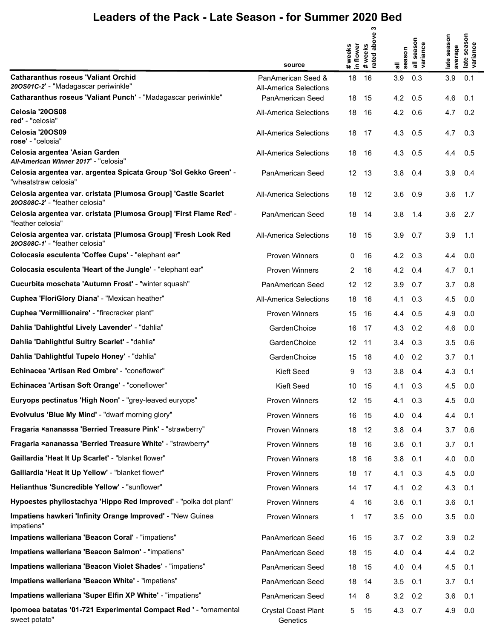|                                                                                                  | source                                              | in flower<br># weeks | ო<br>above<br># weeks<br>rated abo | all<br>season | all season<br>variance | late season<br>average | season<br>late seaso<br>variance |
|--------------------------------------------------------------------------------------------------|-----------------------------------------------------|----------------------|------------------------------------|---------------|------------------------|------------------------|----------------------------------|
| <b>Catharanthus roseus 'Valiant Orchid</b><br>200S01C-2' - "Madagascar periwinkle"               | PanAmerican Seed &<br><b>All-America Selections</b> | 18                   | 16                                 | 3.9           | 0.3                    | 3.9                    | 0.1                              |
| Catharanthus roseus 'Valiant Punch' - "Madagascar periwinkle"                                    | PanAmerican Seed                                    | 18                   | 15                                 | 4.2           | 0.5                    | 4.6                    | 0.1                              |
| Celosia '20OS08<br>red' - "celosia"                                                              | All-America Selections                              | 18                   | 16                                 | 4.2           | 0.6                    | 4.7                    | 0.2                              |
| Celosia '20OS09<br>rose' - "celosia"                                                             | <b>All-America Selections</b>                       | 18                   | 17                                 | 4.3           | 0.5                    | 4.7                    | 0.3                              |
| Celosia argentea 'Asian Garden<br>All-American Winner 2017' - "celosia"                          | All-America Selections                              | 18                   | 16                                 | 4.3           | 0.5                    | 4.4                    | 0.5                              |
| Celosia argentea var. argentea Spicata Group 'Sol Gekko Green' -<br>"wheatstraw celosia"         | PanAmerican Seed                                    | 12                   | -13                                | 3.8           | 0.4                    | 3.9                    | 0.4                              |
| Celosia argentea var. cristata [Plumosa Group] 'Castle Scarlet<br>200S08C-2' - "feather celosia" | <b>All-America Selections</b>                       | 18                   | 12                                 | 3.6           | 0.9                    | 3.6                    | 1.7                              |
| Celosia argentea var. cristata [Plumosa Group] 'First Flame Red' -<br>"feather celosia"          | PanAmerican Seed                                    | 18                   | 14                                 | 3.8           | 1.4                    | 3.6                    | 2.7                              |
| Celosia argentea var. cristata [Plumosa Group] 'Fresh Look Red<br>200S08C-1' - "feather celosia" | <b>All-America Selections</b>                       | 18                   | 15                                 | 3.9           | 0.7                    | 3.9                    | 1.1                              |
| Colocasia esculenta 'Coffee Cups' - "elephant ear"                                               | <b>Proven Winners</b>                               | 0                    | 16                                 | 4.2           | 0.3                    | 4.4                    | 0.0                              |
| Colocasia esculenta 'Heart of the Jungle' - "elephant ear"                                       | <b>Proven Winners</b>                               | 2                    | 16                                 | 4.2           | 0.4                    | 4.7                    | 0.1                              |
| Cucurbita moschata 'Autumn Frost' - "winter squash"                                              | <b>PanAmerican Seed</b>                             | 12                   | 12                                 | 3.9           | 0.7                    | 3.7                    | 0.8                              |
| Cuphea 'FloriGlory Diana' - "Mexican heather"                                                    | All-America Selections                              | 18                   | 16                                 | 4.1           | 0.3                    | 4.5                    | 0.0                              |
| Cuphea 'Vermillionaire' - "firecracker plant"                                                    | <b>Proven Winners</b>                               | 15                   | 16                                 | 4.4           | 0.5                    | 4.9                    | 0.0                              |
| Dahlia 'Dahlightful Lively Lavender' - "dahlia"                                                  | GardenChoice                                        | 16                   | 17                                 | 4.3           | 0.2                    | 4.6                    | 0.0                              |
| Dahlia 'Dahlightful Sultry Scarlet' - "dahlia"                                                   | GardenChoice                                        | 12                   | -11                                | 3.4           | 0.3                    | 3.5                    | 0.6                              |
| Dahlia 'Dahlightful Tupelo Honey' - "dahlia"                                                     | GardenChoice                                        | 15                   | 18                                 | 4.0           | 0.2                    | 3.7                    | 0.1                              |
| Echinacea 'Artisan Red Ombre' - "coneflower"                                                     | Kieft Seed                                          | 9                    | 13                                 | 3.8           | 0.4                    | 4.3                    | 0.1                              |
| Echinacea 'Artisan Soft Orange' - "coneflower"                                                   | Kieft Seed                                          | 10                   | 15                                 | 4.1           | 0.3                    | 4.5                    | 0.0                              |
| Euryops pectinatus 'High Noon' - "grey-leaved euryops"                                           | <b>Proven Winners</b>                               | 12 <sup>2</sup>      | - 15                               | 4.1           | 0.3                    | 4.5                    | 0.0                              |
| <b>Evolvulus 'Blue My Mind' - "dwarf morning glory"</b>                                          | Proven Winners                                      | 16                   | 15                                 | 4.0           | 0.4                    | 4.4                    | 0.1                              |
| Fragaria xananassa 'Berried Treasure Pink' - "strawberry"                                        | Proven Winners                                      | 18                   | 12                                 | 3.8           | 0.4                    | 3.7                    | 0.6                              |
| Fragaria xananassa 'Berried Treasure White' - "strawberry"                                       | <b>Proven Winners</b>                               | 18                   | 16                                 | 3.6           | 0.1                    | 3.7                    | 0.1                              |
| Gaillardia 'Heat It Up Scarlet' - "blanket flower"                                               | <b>Proven Winners</b>                               | 18                   | 16                                 | 3.8           | 0.1                    | 4.0                    | 0.0                              |
| Gaillardia 'Heat It Up Yellow' - "blanket flower"                                                | Proven Winners                                      | 18                   | 17                                 | 4.1           | 0.3                    | 4.5                    | 0.0                              |
| Helianthus 'Suncredible Yellow' - "sunflower"                                                    | Proven Winners                                      | 14                   | 17                                 | 4.1           | 0.2                    | 4.3                    | 0.1                              |
| Hypoestes phyllostachya 'Hippo Red Improved' - "polka dot plant"                                 | Proven Winners                                      | 4                    | 16                                 | 3.6           | 0.1                    | 3.6                    | 0.1                              |
| Impatiens hawkeri 'Infinity Orange Improved' - "New Guinea<br>impatiens"                         | Proven Winners                                      | 1                    | 17                                 | 3.5           | 0.0                    | 3.5                    | 0.0                              |
| Impatiens walleriana 'Beacon Coral' - "impatiens"                                                | PanAmerican Seed                                    | 16                   | 15                                 | 3.7           | 0.2                    | 3.9                    | 0.2                              |
| Impatiens walleriana 'Beacon Salmon' - "impatiens"                                               | PanAmerican Seed                                    | 18                   | 15                                 | 4.0           | 0.4                    | 4.4                    | 0.2                              |
| Impatiens walleriana 'Beacon Violet Shades' - "impatiens"                                        | PanAmerican Seed                                    | 18                   | 15                                 | 4.0           | 0.4                    | 4.5                    | 0.1                              |
| Impatiens walleriana 'Beacon White' - "impatiens"                                                | PanAmerican Seed                                    | 18                   | 14                                 | 3.5           | 0.1                    | 3.7                    | 0.1                              |
| Impatiens walleriana 'Super Elfin XP White' - "impatiens"                                        | PanAmerican Seed                                    | 14                   | 8                                  | 3.2           | 0.2                    | 3.6                    | 0.1                              |
| Ipomoea batatas '01-721 Experimental Compact Red ' - "ornamental<br>sweet potato"                | <b>Crystal Coast Plant</b><br>Genetics              | 5                    | 15                                 | 4.3           | 0.7                    | 4.9                    | 0.0                              |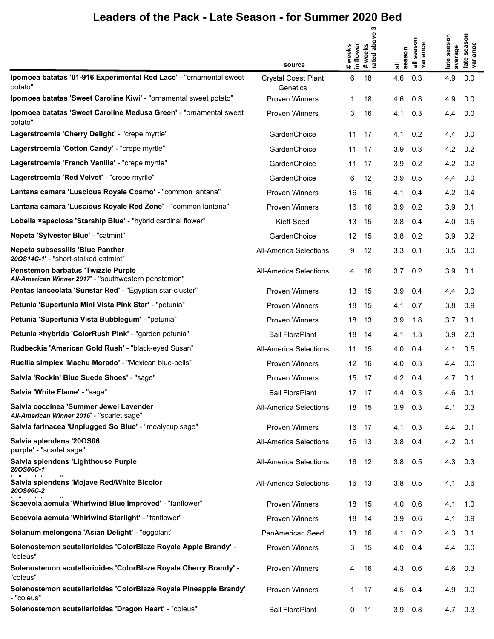|                                                                                            | source                                 | # weeks<br>in flower | ო<br>above<br># weeks<br>rated abo | season<br>᠊ᢛ | all season<br>variance | season<br>average<br>late | season<br>late seaso<br>variance |
|--------------------------------------------------------------------------------------------|----------------------------------------|----------------------|------------------------------------|--------------|------------------------|---------------------------|----------------------------------|
| Ipomoea batatas '01-916 Experimental Red Lace' - "ornamental sweet<br>potato"              | <b>Crystal Coast Plant</b><br>Genetics | 6                    | 18                                 | 4.6          | 0.3                    | 4.9                       | 0.0                              |
| Ipomoea batatas 'Sweet Caroline Kiwi' - "ornamental sweet potato"                          | <b>Proven Winners</b>                  | 1                    | 18                                 | 4.6          | 0.3                    | 4.9                       | 0.0                              |
| Ipomoea batatas 'Sweet Caroline Medusa Green' - "ornamental sweet"<br>potato"              | <b>Proven Winners</b>                  | 3                    | 16                                 | 4.1          | 0.3                    | 4.4                       | 0.0                              |
| Lagerstroemia 'Cherry Delight' - "crepe myrtle"                                            | GardenChoice                           | 11                   | 17                                 | 4.1          | 0.2                    | 4.4                       | 0.0                              |
| Lagerstroemia 'Cotton Candy' - "crepe myrtle"                                              | GardenChoice                           | 11                   | 17                                 | 3.9          | 0.3                    | 4.2                       | 0.2                              |
| Lagerstroemia 'French Vanilla' - "crepe myrtle"                                            | GardenChoice                           | 11                   | 17                                 | 3.9          | 0.2                    | 4.2                       | 0.2                              |
| Lagerstroemia 'Red Velvet' - "crepe myrtle"                                                | GardenChoice                           | 6                    | 12                                 | 3.9          | 0.5                    | 4.4                       | 0.0                              |
| Lantana camara 'Luscious Royale Cosmo' - "common lantana"                                  | <b>Proven Winners</b>                  | 16                   | 16                                 | 4.1          | 0.4                    | 4.2                       | 0.4                              |
| Lantana camara 'Luscious Royale Red Zone' - "common lantana"                               | <b>Proven Winners</b>                  | 16                   | 16                                 | 3.9          | 0.2                    | 3.9                       | 0.1                              |
| Lobelia xspeciosa 'Starship Blue' - "hybrid cardinal flower"                               | Kieft Seed                             | 13                   | 15                                 | 3.8          | 0.4                    | 4.0                       | 0.5                              |
| Nepeta 'Sylvester Blue' - "catmint"                                                        | GardenChoice                           | 12                   | 15                                 | 3.8          | 0.2                    | 3.9                       | 0.2                              |
| Nepeta subsessilis 'Blue Panther<br>200S14C-1' - "short-stalked catmint"                   | <b>All-America Selections</b>          | 9                    | 12                                 | 3.3          | 0.1                    | 3.5                       | 0.0                              |
| Penstemon barbatus 'Twizzle Purple<br>All-American Winner 2017' - "southwestern penstemon" | <b>All-America Selections</b>          | 4                    | 16                                 | 3.7          | 0.2                    | 3.9                       | 0.1                              |
| Pentas lanceolata 'Sunstar Red' - "Egyptian star-cluster"                                  | <b>Proven Winners</b>                  | 13                   | 15                                 | 3.9          | 0.4                    | 4.4                       | 0.0                              |
| Petunia 'Supertunia Mini Vista Pink Star' - "petunia"                                      | <b>Proven Winners</b>                  | 18                   | 15                                 | 4.1          | 0.7                    | 3.8                       | 0.9                              |
| Petunia 'Supertunia Vista Bubblegum' - "petunia"                                           | <b>Proven Winners</b>                  | 18                   | 13                                 | 3.9          | 1.8                    | 3.7                       | 3.1                              |
| Petunia ×hybrida 'ColorRush Pink' - "garden petunia"                                       | <b>Ball FloraPlant</b>                 | 18                   | 14                                 | 4.1          | 1.3                    | 3.9                       | 2.3                              |
| Rudbeckia 'American Gold Rush' - "black-eyed Susan"                                        | <b>All-America Selections</b>          | 11                   | 15                                 | 4.0          | 0.4                    | 4.1                       | 0.5                              |
| Ruellia simplex 'Machu Morado' - "Mexican blue-bells"                                      | <b>Proven Winners</b>                  | 12                   | 16                                 | 4.0          | 0.3                    | 4.4                       | 0.0                              |
| Salvia 'Rockin' Blue Suede Shoes' - "sage"                                                 | <b>Proven Winners</b>                  | 15                   | 17                                 | 4.2          | 0.4                    | 4.7                       | 0.1                              |
| Salvia 'White Flame' - "sage"                                                              | <b>Ball FloraPlant</b>                 |                      | 17 17                              | 4.4          | 0.3                    | 4.6                       | 0.1                              |
| Salvia coccinea 'Summer Jewel Lavender<br>All-American Winner 2016' - "scarlet sage"       | <b>All-America Selections</b>          |                      | 18 15                              | 3.9          | 0.3                    | 4.1                       | 0.3                              |
| Salvia farinacea 'Unplugged So Blue' - "mealycup sage"                                     | <b>Proven Winners</b>                  | 16                   | 17                                 | 4.1          | 0.3                    | 4.4                       | 0.1                              |
| Salvia splendens '20OS06<br>purple' - "scarlet sage"                                       | <b>All-America Selections</b>          | 16                   | 13                                 | 3.8          | 0.4                    | 4.2                       | 0.1                              |
| Salvia splendens 'Lighthouse Purple<br>20OS06C-1                                           | <b>All-America Selections</b>          | 16                   | 12                                 | 3.8          | 0.5                    | 4.3                       | 0.3                              |
| Salvia splendens 'Mojave Red/White Bicolor<br>20OS06C-2                                    | <b>All-America Selections</b>          | 16                   | - 13                               | 3.8          | 0.5                    | 4.1                       | 0.6                              |
| Scaevola aemula 'Whirlwind Blue Improved' - "fanflower"                                    | <b>Proven Winners</b>                  | 18                   | - 15                               | 4.0          | 0.6                    | 4.1                       | 1.0                              |
| Scaevola aemula 'Whirlwind Starlight' - "fanflower"                                        | <b>Proven Winners</b>                  | 18                   | -14                                | 3.9          | 0.6                    | 4.1                       | 0.9                              |
| Solanum melongena 'Asian Delight' - "eggplant"                                             | PanAmerican Seed                       | 13                   | 16                                 | 4.1          | 0.2                    | 4.3                       | 0.1                              |
| Solenostemon scutellarioides 'ColorBlaze Royale Apple Brandy' -<br>"coleus"                | <b>Proven Winners</b>                  | 3                    | 15                                 | 4.0          | 0.4                    | 4.4                       | 0.0                              |
| Solenostemon scutellarioides 'ColorBlaze Royale Cherry Brandy' -<br>"coleus"               | <b>Proven Winners</b>                  | 4                    | 16                                 | 4.3          | 0.6                    | 4.6                       | 0.3                              |
| Solenostemon scutellarioides 'ColorBlaze Royale Pineapple Brandy'<br>- "coleus"            | <b>Proven Winners</b>                  | 1                    | 17                                 | 4.5          | 0.4                    | 4.9                       | 0.0                              |
| Solenostemon scutellarioides 'Dragon Heart' - "coleus"                                     | <b>Ball FloraPlant</b>                 | 0                    | 11                                 | $3.9$ $0.8$  |                        |                           | $4.7\quad 0.3$                   |